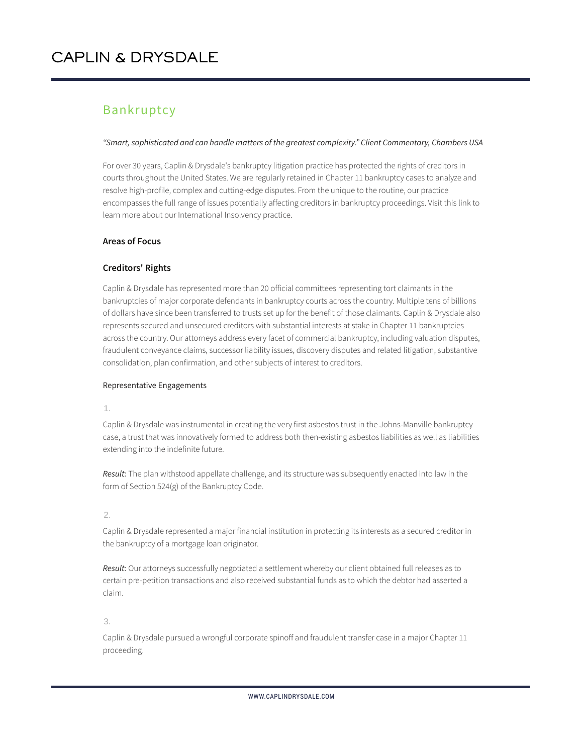### Bankruptcy

#### *"Smart, sophisticated and can handle matters of the greatest complexity." Client Commentary, Chambers USA*

For over 30 years, Caplin & Drysdale's bankruptcy litigation practice has protected the rights of creditors in courts throughout the United States. We are regularly retained in Chapter 11 bankruptcy cases to analyze and resolve high-profile, complex and cutting-edge disputes. From the unique to the routine, our practice encompasses the full range of issues potentially affecting creditors in bankruptcy proceedings. Visit this link to learn more about our International Insolvency practice.

### **Areas of Focus**

### **Creditors' Rights**

Caplin & Drysdale has represented more than 20 official committees representing tort claimants in the bankruptcies of major corporate defendants in bankruptcy courts across the country. Multiple tens of billions of dollars have since been transferred to trusts set up for the benefit of those claimants. Caplin & Drysdale also represents secured and unsecured creditors with substantial interests at stake in Chapter 11 bankruptcies across the country. Our attorneys address every facet of commercial bankruptcy, including valuation disputes, fraudulent conveyance claims, successor liability issues, discovery disputes and related litigation, substantive consolidation, plan confirmation, and other subjects of interest to creditors.

### Representative Engagements

1.

Caplin & Drysdale was instrumental in creating the very first asbestos trust in the Johns-Manville bankruptcy case, a trust that was innovatively formed to address both then-existing asbestos liabilities as well as liabilities extending into the indefinite future.

*Result:* The plan withstood appellate challenge, and its structure was subsequently enacted into law in the form of Section 524(g) of the Bankruptcy Code.

### 2.

Caplin & Drysdale represented a major financial institution in protecting its interests as a secured creditor in the bankruptcy of a mortgage loan originator.

*Result:* Our attorneys successfully negotiated a settlement whereby our client obtained full releases as to certain pre-petition transactions and also received substantial funds as to which the debtor had asserted a claim.

3.

Caplin & Drysdale pursued a wrongful corporate spinoff and fraudulent transfer case in a major Chapter 11 proceeding.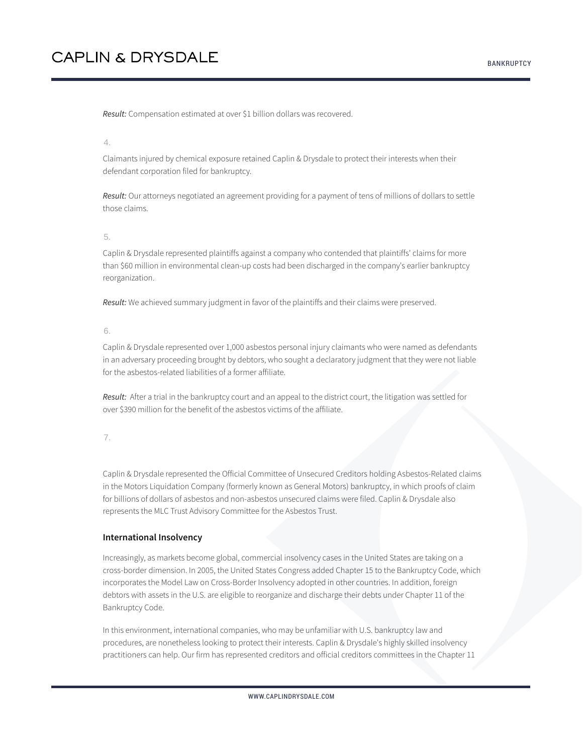*Result:* Compensation estimated at over \$1 billion dollars was recovered.

#### 4.

Claimants injured by chemical exposure retained Caplin & Drysdale to protect their interests when their defendant corporation filed for bankruptcy.

*Result:* Our attorneys negotiated an agreement providing for a payment of tens of millions of dollars to settle those claims.

#### 5.

Caplin & Drysdale represented plaintiffs against a company who contended that plaintiffs' claims for more than \$60 million in environmental clean-up costs had been discharged in the company's earlier bankruptcy reorganization.

*Result:* We achieved summary judgment in favor of the plaintiffs and their claims were preserved.

#### 6.

Caplin & Drysdale represented over 1,000 asbestos personal injury claimants who were named as defendants in an adversary proceeding brought by debtors, who sought a declaratory judgment that they were not liable for the asbestos-related liabilities of a former affiliate.

*Result:* After a trial in the bankruptcy court and an appeal to the district court, the litigation was settled for over \$390 million for the benefit of the asbestos victims of the affiliate.

7.

Caplin & Drysdale represented the Official Committee of Unsecured Creditors holding Asbestos-Related claims in the Motors Liquidation Company (formerly known as General Motors) bankruptcy, in which proofs of claim for billions of dollars of asbestos and non-asbestos unsecured claims were filed. Caplin & Drysdale also represents the MLC Trust Advisory Committee for the Asbestos Trust.

#### **International Insolvency**

Increasingly, as markets become global, commercial insolvency cases in the United States are taking on a cross-border dimension. In 2005, the United States Congress added Chapter 15 to the Bankruptcy Code, which incorporates the Model Law on Cross-Border Insolvency adopted in other countries. In addition, foreign debtors with assets in the U.S. are eligible to reorganize and discharge their debts under Chapter 11 of the Bankruptcy Code.

In this environment, international companies, who may be unfamiliar with U.S. bankruptcy law and procedures, are nonetheless looking to protect their interests. Caplin & Drysdale's highly skilled insolvency practitioners can help. Our firm has represented creditors and official creditors committees in the Chapter 11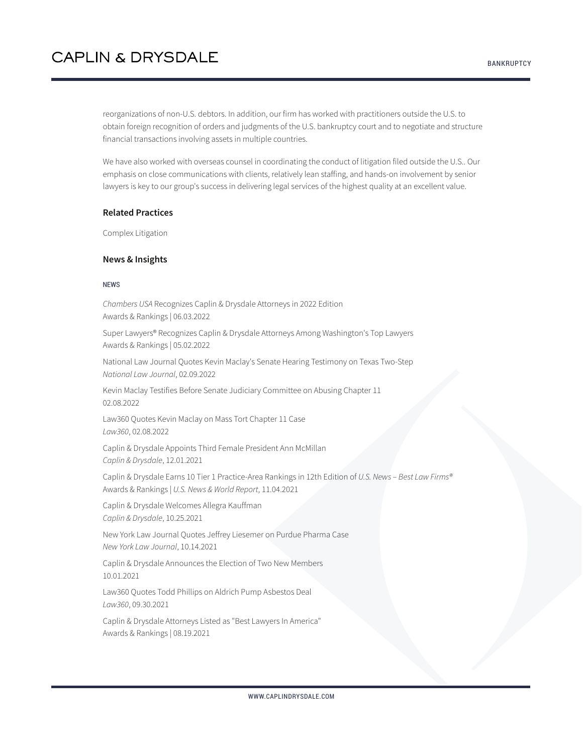reorganizations of non-U.S. debtors. In addition, our firm has worked with practitioners outside the U.S. to obtain foreign recognition of orders and judgments of the U.S. bankruptcy court and to negotiate and structure financial transactions involving assets in multiple countries.

We have also worked with overseas counsel in coordinating the conduct of litigation filed outside the U.S.. Our emphasis on close communications with clients, relatively lean staffing, and hands-on involvement by senior lawyers is key to our group's success in delivering legal services of the highest quality at an excellent value.

#### **Related Practices**

Complex Litigation

#### **News & Insights**

#### NEWS

*Chambers USA* Recognizes Caplin & Drysdale Attorneys in 2022 Edition Awards & Rankings | 06.03.2022

Super Lawyers® Recognizes Caplin & Drysdale Attorneys Among Washington's Top Lawyers Awards & Rankings | 05.02.2022

National Law Journal Quotes Kevin Maclay's Senate Hearing Testimony on Texas Two-Step *National Law Journal*, 02.09.2022

Kevin Maclay Testifies Before Senate Judiciary Committee on Abusing Chapter 11 02.08.2022

Law360 Quotes Kevin Maclay on Mass Tort Chapter 11 Case *Law360*, 02.08.2022

Caplin & Drysdale Appoints Third Female President Ann McMillan *Caplin & Drysdale*, 12.01.2021

Caplin & Drysdale Earns 10 Tier 1 Practice-Area Rankings in 12th Edition of *U.S. News – Best Law Firms®* Awards & Rankings | *U.S. News & World Report*, 11.04.2021

Caplin & Drysdale Welcomes Allegra Kauffman *Caplin & Drysdale*, 10.25.2021

New York Law Journal Quotes Jeffrey Liesemer on Purdue Pharma Case *New York Law Journal*, 10.14.2021

Caplin & Drysdale Announces the Election of Two New Members 10.01.2021

Law360 Quotes Todd Phillips on Aldrich Pump Asbestos Deal *Law360*, 09.30.2021

Caplin & Drysdale Attorneys Listed as "Best Lawyers In America" Awards & Rankings | 08.19.2021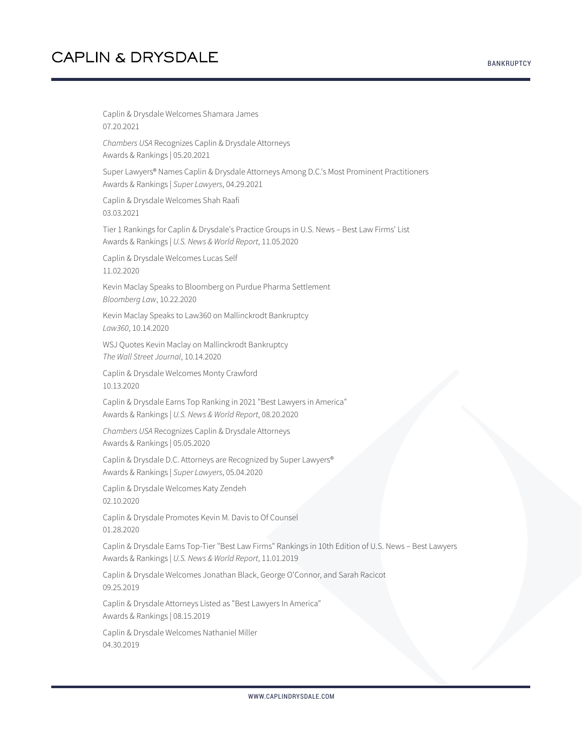Caplin & Drysdale Welcomes Shamara James 07.20.2021 *Chambers USA* Recognizes Caplin & Drysdale Attorneys Awards & Rankings | 05.20.2021 Super Lawyers® Names Caplin & Drysdale Attorneys Among D.C.'s Most Prominent Practitioners Awards & Rankings | *Super Lawyers*, 04.29.2021 Caplin & Drysdale Welcomes Shah Raafi 03.03.2021 Tier 1 Rankings for Caplin & Drysdale's Practice Groups in U.S. News – Best Law Firms' List Awards & Rankings | *U.S. News & World Report*, 11.05.2020 Caplin & Drysdale Welcomes Lucas Self 11.02.2020 Kevin Maclay Speaks to Bloomberg on Purdue Pharma Settlement *Bloomberg Law*, 10.22.2020 Kevin Maclay Speaks to Law360 on Mallinckrodt Bankruptcy *Law360*, 10.14.2020 WSJ Quotes Kevin Maclay on Mallinckrodt Bankruptcy *The Wall Street Journal*, 10.14.2020 Caplin & Drysdale Welcomes Monty Crawford 10.13.2020 Caplin & Drysdale Earns Top Ranking in 2021 "Best Lawyers in America" Awards & Rankings | *U.S. News & World Report*, 08.20.2020 *Chambers USA* Recognizes Caplin & Drysdale Attorneys Awards & Rankings | 05.05.2020 Caplin & Drysdale D.C. Attorneys are Recognized by Super Lawyers® Awards & Rankings | *Super Lawyers*, 05.04.2020 Caplin & Drysdale Welcomes Katy Zendeh 02.10.2020 Caplin & Drysdale Promotes Kevin M. Davis to Of Counsel 01.28.2020 Caplin & Drysdale Earns Top-Tier "Best Law Firms" Rankings in 10th Edition of U.S. News – Best Lawyers Awards & Rankings | *U.S. News & World Report*, 11.01.2019 Caplin & Drysdale Welcomes Jonathan Black, George O'Connor, and Sarah Racicot 09.25.2019 Caplin & Drysdale Attorneys Listed as "Best Lawyers In America" Awards & Rankings | 08.15.2019 Caplin & Drysdale Welcomes Nathaniel Miller 04.30.2019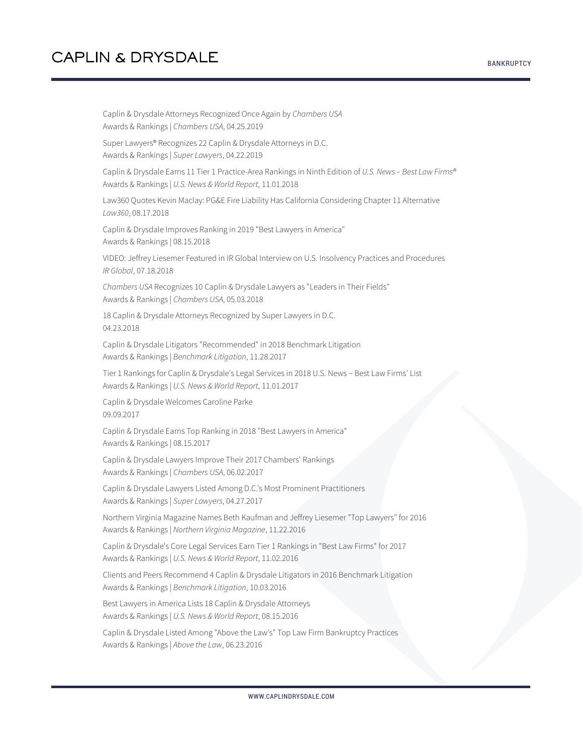Caplin & Drysdale Attorneys Recognized Once Again by *Chambers USA* Awards & Rankings | *Chambers USA*, 04.25.2019 Super Lawyers® Recognizes 22 Caplin & Drysdale Attorneys in D.C. Awards & Rankings | *Super Lawyers*, 04.22.2019 Caplin & Drysdale Earns 11 Tier 1 Practice-Area Rankings in Ninth Edition of *U.S. News – Best Law Firms®* Awards & Rankings | *U.S. News & World Report*, 11.01.2018 Law360 Quotes Kevin Maclay: PG&E Fire Liability Has California Considering Chapter 11 Alternative *Law360*, 08.17.2018 Caplin & Drysdale Improves Ranking in 2019 "Best Lawyers in America" Awards & Rankings | 08.15.2018 VIDEO: Jeffrey Liesemer Featured in IR Global Interview on U.S. Insolvency Practices and Procedures *IR Global*, 07.18.2018 *Chambers USA* Recognizes 10 Caplin & Drysdale Lawyers as "Leaders in Their Fields" Awards & Rankings | *Chambers USA*, 05.03.2018 18 Caplin & Drysdale Attorneys Recognized by Super Lawyers in D.C. 04.23.2018 Caplin & Drysdale Litigators "Recommended" in 2018 Benchmark Litigation Awards & Rankings | *Benchmark Litigation*, 11.28.2017 Tier 1 Rankings for Caplin & Drysdale's Legal Services in 2018 U.S. News – Best Law Firms' List Awards & Rankings | *U.S. News & World Report*, 11.01.2017 Caplin & Drysdale Welcomes Caroline Parke 09.09.2017 Caplin & Drysdale Earns Top Ranking in 2018 "Best Lawyers in America" Awards & Rankings | 08.15.2017 Caplin & Drysdale Lawyers Improve Their 2017 Chambers' Rankings Awards & Rankings | *Chambers USA*, 06.02.2017 Caplin & Drysdale Lawyers Listed Among D.C.'s Most Prominent Practitioners Awards & Rankings | *Super Lawyers*, 04.27.2017 Northern Virginia Magazine Names Beth Kaufman and Jeffrey Liesemer "Top Lawyers" for 2016 Awards & Rankings | *Northern Virginia Magazine*, 11.22.2016 Caplin & Drysdale's Core Legal Services Earn Tier 1 Rankings in "Best Law Firms" for 2017 Awards & Rankings | *U.S. News & World Report*, 11.02.2016 Clients and Peers Recommend 4 Caplin & Drysdale Litigators in 2016 Benchmark Litigation Awards & Rankings | *Benchmark Litigation*, 10.03.2016

Best Lawyers in America Lists 18 Caplin & Drysdale Attorneys Awards & Rankings | *U.S. News & World Report*, 08.15.2016

Caplin & Drysdale Listed Among "Above the Law's" Top Law Firm Bankruptcy Practices Awards & Rankings | *Above the Law*, 06.23.2016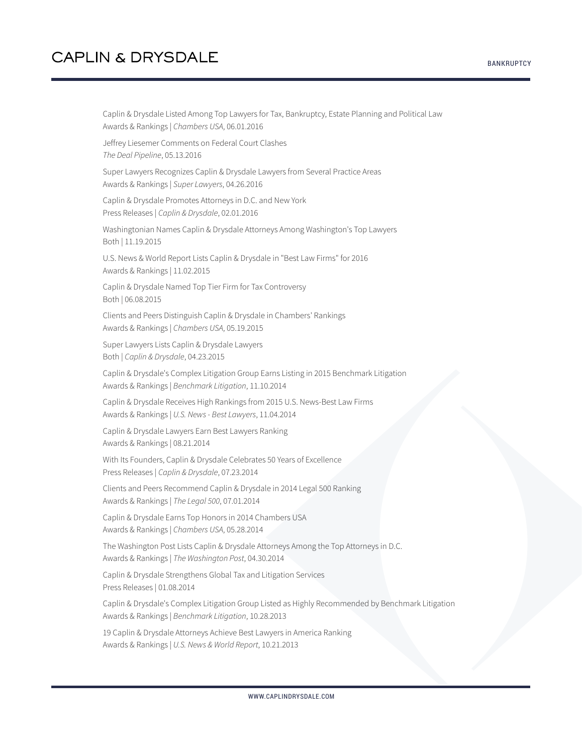Caplin & Drysdale Listed Among Top Lawyers for Tax, Bankruptcy, Estate Planning and Political Law Awards & Rankings | *Chambers USA*, 06.01.2016

Jeffrey Liesemer Comments on Federal Court Clashes *The Deal Pipeline*, 05.13.2016

Super Lawyers Recognizes Caplin & Drysdale Lawyers from Several Practice Areas Awards & Rankings | *Super Lawyers*, 04.26.2016

Caplin & Drysdale Promotes Attorneys in D.C. and New York Press Releases | *Caplin & Drysdale*, 02.01.2016

Washingtonian Names Caplin & Drysdale Attorneys Among Washington's Top Lawyers Both | 11.19.2015

U.S. News & World Report Lists Caplin & Drysdale in "Best Law Firms" for 2016 Awards & Rankings | 11.02.2015

Caplin & Drysdale Named Top Tier Firm for Tax Controversy Both | 06.08.2015

Clients and Peers Distinguish Caplin & Drysdale in Chambers' Rankings Awards & Rankings | *Chambers USA*, 05.19.2015

Super Lawyers Lists Caplin & Drysdale Lawyers Both | *Caplin & Drysdale*, 04.23.2015

Caplin & Drysdale's Complex Litigation Group Earns Listing in 2015 Benchmark Litigation Awards & Rankings | *Benchmark Litigation*, 11.10.2014

Caplin & Drysdale Receives High Rankings from 2015 U.S. News-Best Law Firms Awards & Rankings | *U.S. News - Best Lawyers*, 11.04.2014

Caplin & Drysdale Lawyers Earn Best Lawyers Ranking Awards & Rankings | 08.21.2014

With Its Founders, Caplin & Drysdale Celebrates 50 Years of Excellence Press Releases | *Caplin & Drysdale*, 07.23.2014

Clients and Peers Recommend Caplin & Drysdale in 2014 Legal 500 Ranking Awards & Rankings | *The Legal 500*, 07.01.2014

Caplin & Drysdale Earns Top Honors in 2014 Chambers USA Awards & Rankings | *Chambers USA*, 05.28.2014

The Washington Post Lists Caplin & Drysdale Attorneys Among the Top Attorneys in D.C. Awards & Rankings | *The Washington Post*, 04.30.2014

Caplin & Drysdale Strengthens Global Tax and Litigation Services Press Releases | 01.08.2014

Caplin & Drysdale's Complex Litigation Group Listed as Highly Recommended by Benchmark Litigation Awards & Rankings | *Benchmark Litigation*, 10.28.2013

19 Caplin & Drysdale Attorneys Achieve Best Lawyers in America Ranking Awards & Rankings | *U.S. News & World Report*, 10.21.2013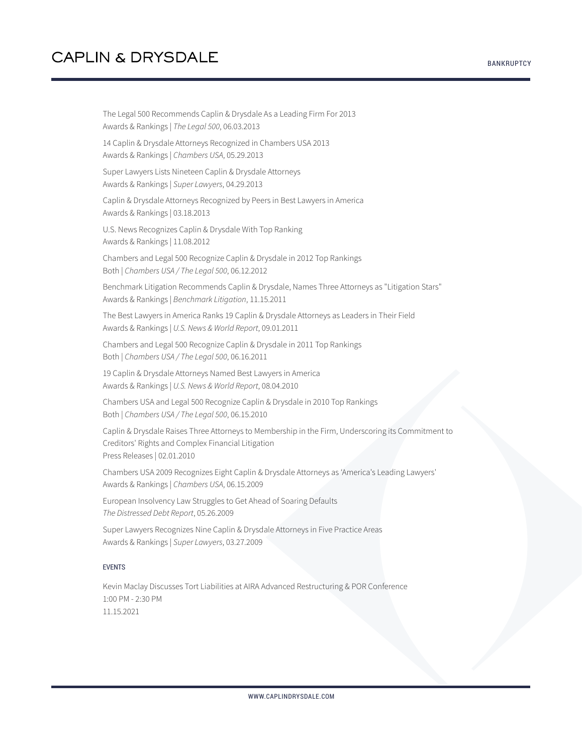The Legal 500 Recommends Caplin & Drysdale As a Leading Firm For 2013 Awards & Rankings | *The Legal 500*, 06.03.2013 14 Caplin & Drysdale Attorneys Recognized in Chambers USA 2013 Awards & Rankings | *Chambers USA*, 05.29.2013 Super Lawyers Lists Nineteen Caplin & Drysdale Attorneys Awards & Rankings | *Super Lawyers*, 04.29.2013 Caplin & Drysdale Attorneys Recognized by Peers in Best Lawyers in America Awards & Rankings | 03.18.2013 U.S. News Recognizes Caplin & Drysdale With Top Ranking Awards & Rankings | 11.08.2012 Chambers and Legal 500 Recognize Caplin & Drysdale in 2012 Top Rankings Both | *Chambers USA / The Legal 500*, 06.12.2012 Benchmark Litigation Recommends Caplin & Drysdale, Names Three Attorneys as "Litigation Stars" Awards & Rankings | *Benchmark Litigation*, 11.15.2011 The Best Lawyers in America Ranks 19 Caplin & Drysdale Attorneys as Leaders in Their Field Awards & Rankings | *U.S. News & World Report*, 09.01.2011 Chambers and Legal 500 Recognize Caplin & Drysdale in 2011 Top Rankings Both | *Chambers USA / The Legal 500*, 06.16.2011 19 Caplin & Drysdale Attorneys Named Best Lawyers in America Awards & Rankings | *U.S. News & World Report*, 08.04.2010 Chambers USA and Legal 500 Recognize Caplin & Drysdale in 2010 Top Rankings Both | *Chambers USA / The Legal 500*, 06.15.2010 Caplin & Drysdale Raises Three Attorneys to Membership in the Firm, Underscoring its Commitment to Creditors' Rights and Complex Financial Litigation

Press Releases | 02.01.2010

Chambers USA 2009 Recognizes Eight Caplin & Drysdale Attorneys as 'America's Leading Lawyers' Awards & Rankings | *Chambers USA*, 06.15.2009

European Insolvency Law Struggles to Get Ahead of Soaring Defaults *The Distressed Debt Report*, 05.26.2009

Super Lawyers Recognizes Nine Caplin & Drysdale Attorneys in Five Practice Areas Awards & Rankings | *Super Lawyers*, 03.27.2009

### EVENTS

Kevin Maclay Discusses Tort Liabilities at AIRA Advanced Restructuring & POR Conference 1:00 PM - 2:30 PM 11.15.2021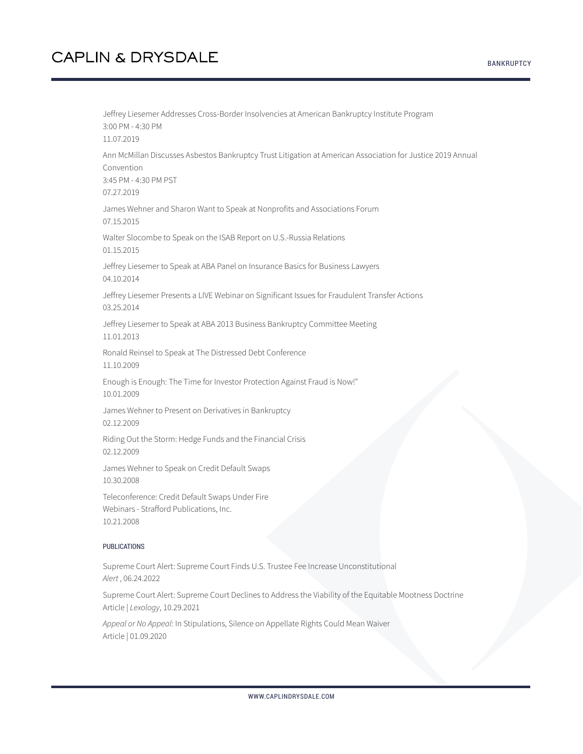Jeffrey Liesemer Addresses Cross-Border Insolvencies at American Bankruptcy Institute Program 3:00 PM - 4:30 PM 11.07.2019 Ann McMillan Discusses Asbestos Bankruptcy Trust Litigation at American Association for Justice 2019 Annual Convention 3:45 PM - 4:30 PM PST 07.27.2019 James Wehner and Sharon Want to Speak at Nonprofits and Associations Forum 07.15.2015 Walter Slocombe to Speak on the ISAB Report on U.S.-Russia Relations 01.15.2015 Jeffrey Liesemer to Speak at ABA Panel on Insurance Basics for Business Lawyers 04.10.2014 Jeffrey Liesemer Presents a LIVE Webinar on Significant Issues for Fraudulent Transfer Actions 03.25.2014 Jeffrey Liesemer to Speak at ABA 2013 Business Bankruptcy Committee Meeting 11.01.2013 Ronald Reinsel to Speak at The Distressed Debt Conference 11.10.2009 Enough is Enough: The Time for Investor Protection Against Fraud is Now!" 10.01.2009 James Wehner to Present on Derivatives in Bankruptcy 02.12.2009 Riding Out the Storm: Hedge Funds and the Financial Crisis 02.12.2009 James Wehner to Speak on Credit Default Swaps 10.30.2008 Teleconference: Credit Default Swaps Under Fire Webinars - Strafford Publications, Inc. 10.21.2008 PUBLICATIONS

Supreme Court Alert: Supreme Court Finds U.S. Trustee Fee Increase Unconstitutional *Alert* , 06.24.2022

Supreme Court Alert: Supreme Court Declines to Address the Viability of the Equitable Mootness Doctrine Article | *Lexology*, 10.29.2021

*Appeal or No Appeal*: In Stipulations, Silence on Appellate Rights Could Mean Waiver Article | 01.09.2020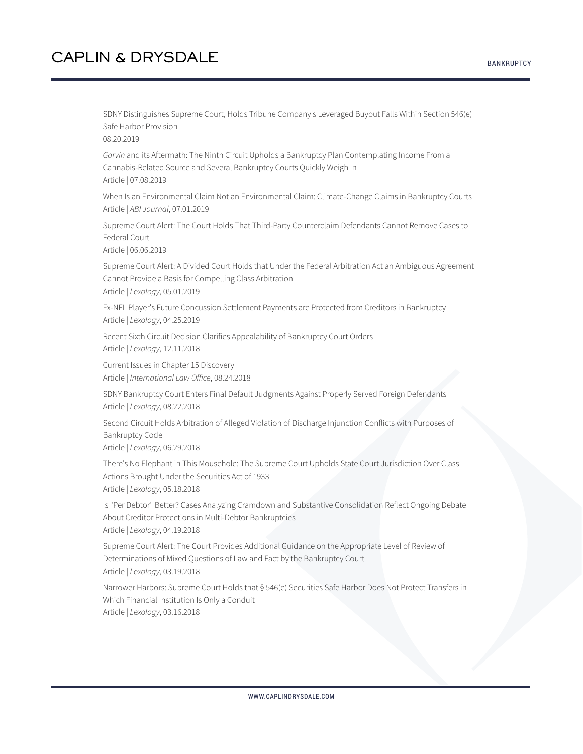SDNY Distinguishes Supreme Court, Holds Tribune Company's Leveraged Buyout Falls Within Section 546(e) Safe Harbor Provision 08.20.2019

*Garvin* and its Aftermath: The Ninth Circuit Upholds a Bankruptcy Plan Contemplating Income From a Cannabis-Related Source and Several Bankruptcy Courts Quickly Weigh In Article | 07.08.2019

When Is an Environmental Claim Not an Environmental Claim: Climate-Change Claims in Bankruptcy Courts Article | *ABI Journal*, 07.01.2019

Supreme Court Alert: The Court Holds That Third-Party Counterclaim Defendants Cannot Remove Cases to Federal Court

Article | 06.06.2019

Supreme Court Alert: A Divided Court Holds that Under the Federal Arbitration Act an Ambiguous Agreement Cannot Provide a Basis for Compelling Class Arbitration Article | *Lexology*, 05.01.2019

Ex-NFL Player's Future Concussion Settlement Payments are Protected from Creditors in Bankruptcy Article | *Lexology*, 04.25.2019

Recent Sixth Circuit Decision Clarifies Appealability of Bankruptcy Court Orders Article | *Lexology*, 12.11.2018

Current Issues in Chapter 15 Discovery Article | *International Law Office*, 08.24.2018

SDNY Bankruptcy Court Enters Final Default Judgments Against Properly Served Foreign Defendants Article | *Lexology*, 08.22.2018

Second Circuit Holds Arbitration of Alleged Violation of Discharge Injunction Conflicts with Purposes of Bankruptcy Code

Article | *Lexology*, 06.29.2018

There's No Elephant in This Mousehole: The Supreme Court Upholds State Court Jurisdiction Over Class Actions Brought Under the Securities Act of 1933

Article | *Lexology*, 05.18.2018

Is "Per Debtor" Better? Cases Analyzing Cramdown and Substantive Consolidation Reflect Ongoing Debate About Creditor Protections in Multi-Debtor Bankruptcies Article | *Lexology*, 04.19.2018

Supreme Court Alert: The Court Provides Additional Guidance on the Appropriate Level of Review of Determinations of Mixed Questions of Law and Fact by the Bankruptcy Court Article | *Lexology*, 03.19.2018

Narrower Harbors: Supreme Court Holds that § 546(e) Securities Safe Harbor Does Not Protect Transfers in Which Financial Institution Is Only a Conduit Article | *Lexology*, 03.16.2018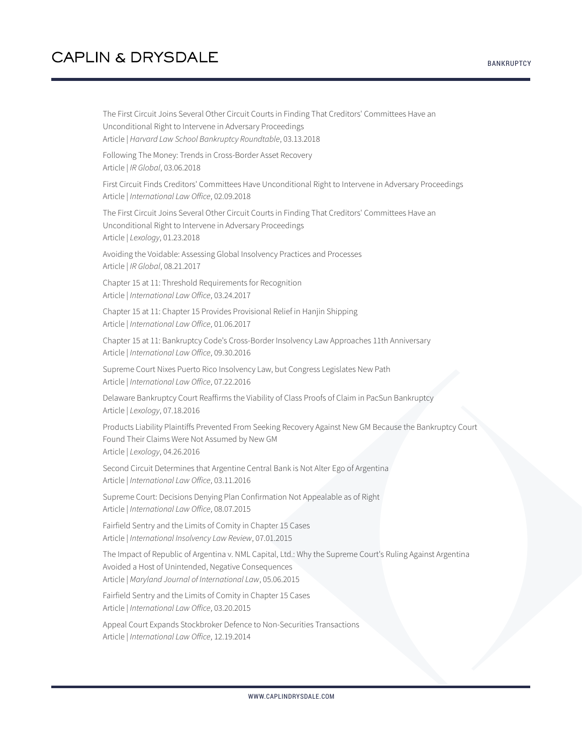Article | *Harvard Law School Bankruptcy Roundtable*, 03.13.2018 Following The Money: Trends in Cross-Border Asset Recovery Article | *IR Global*, 03.06.2018 First Circuit Finds Creditors' Committees Have Unconditional Right to Intervene in Adversary Proceedings Article | *International Law Office*, 02.09.2018 The First Circuit Joins Several Other Circuit Courts in Finding That Creditors' Committees Have an Unconditional Right to Intervene in Adversary Proceedings Article | *Lexology*, 01.23.2018 Avoiding the Voidable: Assessing Global Insolvency Practices and Processes Article | *IR Global*, 08.21.2017 Chapter 15 at 11: Threshold Requirements for Recognition Article | *International Law Office*, 03.24.2017 Chapter 15 at 11: Chapter 15 Provides Provisional Relief in Hanjin Shipping Article | *International Law Office*, 01.06.2017 Chapter 15 at 11: Bankruptcy Code's Cross-Border Insolvency Law Approaches 11th Anniversary Article | *International Law Office*, 09.30.2016 Supreme Court Nixes Puerto Rico Insolvency Law, but Congress Legislates New Path Article | *International Law Office*, 07.22.2016 Delaware Bankruptcy Court Reaffirms the Viability of Class Proofs of Claim in PacSun Bankruptcy Article | *Lexology*, 07.18.2016 Products Liability Plaintiffs Prevented From Seeking Recovery Against New GM Because the Bankruptcy Court Found Their Claims Were Not Assumed by New GM Article | *Lexology*, 04.26.2016 Second Circuit Determines that Argentine Central Bank is Not Alter Ego of Argentina Article | *International Law Office*, 03.11.2016 Supreme Court: Decisions Denying Plan Confirmation Not Appealable as of Right Article | *International Law Office*, 08.07.2015 Fairfield Sentry and the Limits of Comity in Chapter 15 Cases Article | *International Insolvency Law Review*, 07.01.2015 The Impact of Republic of Argentina v. NML Capital, Ltd.: Why the Supreme Court's Ruling Against Argentina Avoided a Host of Unintended, Negative Consequences Article | *Maryland Journal of International Law*, 05.06.2015

The First Circuit Joins Several Other Circuit Courts in Finding That Creditors' Committees Have an

Unconditional Right to Intervene in Adversary Proceedings

Fairfield Sentry and the Limits of Comity in Chapter 15 Cases Article | *International Law Office*, 03.20.2015

Appeal Court Expands Stockbroker Defence to Non-Securities Transactions Article | *International Law Office*, 12.19.2014